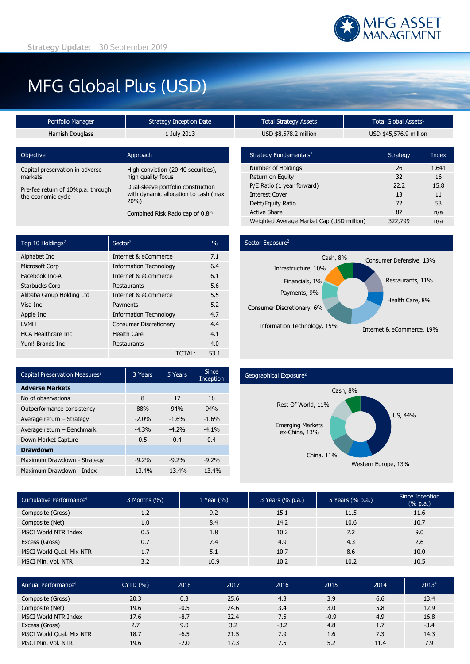# MFG Global Plus (USD)

| Portfolio Manager                 | <b>Strategy Inception Date</b>              | <b>Total Strategy Assets</b>       |  | Total Global Assets <sup>1</sup> |       |  |
|-----------------------------------|---------------------------------------------|------------------------------------|--|----------------------------------|-------|--|
| Hamish Douglass                   | 1 July 2013                                 | USD \$8,578.2 million              |  | USD \$45,576.9 million           |       |  |
| Objective                         | Approach                                    | Strategy Fundamentals <sup>2</sup> |  | <b>Strategy</b>                  | Index |  |
| Capital preservation in adverse   | High conviction (20-40 securities),         | Number of Holdings                 |  | 26                               | 1,641 |  |
| markets                           | high quality focus                          | Return on Equity                   |  | 32                               | 16    |  |
| Pre-fee return of 10%p.a. through | Dual-sleeve portfolio construction          | P/E Ratio (1 year forward)         |  | 22.2                             | 15.8  |  |
| the economic cycle                | with dynamic allocation to cash (max<br>20% | <b>Interest Cover</b>              |  | 13                               | 11    |  |
|                                   |                                             | Debt/Equity Ratio                  |  | 72                               | 53    |  |
|                                   | Combined Risk Ratio cap of 0.8^             | <b>Active Share</b>                |  | 87                               | n/a   |  |
|                                   |                                             |                                    |  |                                  |       |  |

| Top 10 Holdings <sup>2</sup> | Sector <sup>2</sup>           | $\%$ |
|------------------------------|-------------------------------|------|
| Alphabet Inc                 | Internet & eCommerce          | 7.1  |
| Microsoft Corp               | <b>Information Technology</b> | 6.4  |
| Facebook Inc-A               | Internet & eCommerce          | 6.1  |
| <b>Starbucks Corp</b>        | Restaurants                   | 5.6  |
| Alibaba Group Holding Ltd    | Internet & eCommerce          | 5.5  |
| Visa Inc                     | Payments                      | 5.2  |
| Apple Inc                    | <b>Information Technology</b> | 4.7  |
| <b>LVMH</b>                  | <b>Consumer Discretionary</b> | 4.4  |
| <b>HCA Healthcare Inc.</b>   | <b>Health Care</b>            | 4.1  |
| Yum! Brands Inc              | Restaurants                   | 4.0  |
|                              | TOTAL:                        | 53.1 |

| Sector Exposure <sup>2</sup> |
|------------------------------|



Weighted Average Market Cap (USD million) 322,799 n/a

| Capital Preservation Measures <sup>3</sup> | 3 Years  | 5 Years  | Since<br>Inception |
|--------------------------------------------|----------|----------|--------------------|
| <b>Adverse Markets</b>                     |          |          |                    |
| No of observations                         | 8        | 17       | 18                 |
| Outperformance consistency                 | 88%      | 94%      | 94%                |
| Average return - Strategy                  | $-2.0%$  | $-1.6%$  | $-1.6%$            |
| Average return - Benchmark                 | $-4.3%$  | $-4.2%$  | $-4.1%$            |
| Down Market Capture                        | 0.5      | 0.4      | 0.4                |
| <b>Drawdown</b>                            |          |          |                    |
| Maximum Drawdown - Strategy                | $-9.2%$  | $-9.2%$  | $-9.2%$            |
| Maximum Drawdown - Index                   | $-13.4%$ | $-13.4%$ | $-13.4%$           |

### Geographical Exposure2



| Cumulative Performance <sup>4</sup> | 3 Months (%) | 1 Year $(\% )$ | 3 Years (% p.a.) | 5 Years (% p.a.) | Since Inception<br>(% p.a.) |
|-------------------------------------|--------------|----------------|------------------|------------------|-----------------------------|
| Composite (Gross)                   | 1.2          | 9.2            | 15.1             | 11.5             | 11.6                        |
| Composite (Net)                     | 1.0          | 8.4            | 14.2             | 10.6             | 10.7                        |
| MSCI World NTR Index                | 0.5          | 1.8            | 10.2             | 7.2              | 9.0                         |
| Excess (Gross)                      | 0.7          | 7.4            | 4.9              | 4.3              | 2.6                         |
| MSCI World Qual. Mix NTR            | 1.7          | 5.1            | 10.7             | 8.6              | 10.0                        |
| MSCI Min. Vol. NTR                  | 3.2          | 10.9           | 10.2             | 10.2             | 10.5                        |

| Annual Performance <sup>4</sup> | CYTD(%) | 2018   | 2017 | 2016   | 2015   | 2014 | $2013*$ |
|---------------------------------|---------|--------|------|--------|--------|------|---------|
| Composite (Gross)               | 20.3    | 0.3    | 25.6 | 4.3    | 3.9    | 6.6  | 13.4    |
| Composite (Net)                 | 19.6    | $-0.5$ | 24.6 | 3.4    | 3.0    | 5.8  | 12.9    |
| <b>MSCI World NTR Index</b>     | 17.6    | $-8.7$ | 22.4 | 7.5    | $-0.9$ | 4.9  | 16.8    |
| Excess (Gross)                  | 2.7     | 9.0    | 3.2  | $-3.2$ | 4.8    | 1.7  | $-3.4$  |
| MSCI World Qual. Mix NTR        | 18.7    | $-6.5$ | 21.5 | 7.9    | 1.6    | 7.3  | 14.3    |
| MSCI Min. Vol. NTR              | 19.6    | $-2.0$ | 17.3 | 7.5    | 5.2    | 11.4 | 7.9     |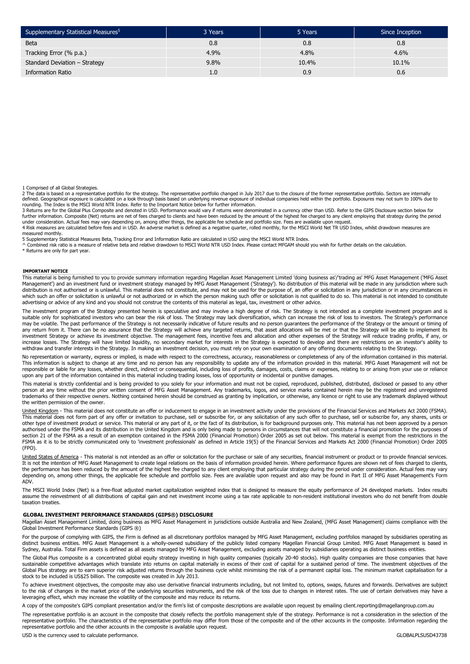| Supplementary Statistical Measures <sup>5</sup> | 3 Years | 5 Years | Since Inception |
|-------------------------------------------------|---------|---------|-----------------|
| <b>Beta</b>                                     | 0.8     | 0.8     | 0.8             |
| Tracking Error (% p.a.)                         | 4.9%    | 4.8%    | 4.6%            |
| Standard Deviation - Strategy                   | 9.8%    | 10.4%   | 10.1%           |
| <b>Information Ratio</b>                        | 1.0     | 0.9     | 0.6             |

1 Comprised of all Global Strategies.

2 The data is based on a representative portfolio for the strategy. The representative portfolio changed in July 2017 due to the closure of the former representative portfolio. Sectors are internally<br>defined. Geographical

rounding. The Index is the MSCI World NTR Index. Refer to the Important Notice below for further information.<br>3 Returns are for the Global Plus Composite and denoted in USD. Performance would vary if returns were denominat further information. Composite (Net) returns are net of fees charged to clients and have been reduced by the amount of the highest fee charged to any client employing that strategy during the period under consideration. Actual fees may vary depending on, among other things, the applicable fee schedule and portfolio size. Fees are available upon request.<br>4 Risk measures are calculated before fees and in USD. An adverse measured monthly.

5 Supplementary Statistical Measures Beta, Tracking Error and Information Ratio are calculated in USD using the MSCI World NTR Index.<br>^ Combined risk ratio is a measure of relative beta and relative drawdown to MSCI World \* Returns are only for part year.

#### **IMPORTANT NOTICE**

This material is being furnished to you to provide summary information regarding Magellan Asset Management Limited 'doing business as'/'trading as' MFG Asset Management ('MFG Asset<br>Management') and an investment fund or in which such an offer or solicitation is unlawful or not authorized or in which the person making such offer or solicitation is not qualified to do so. This material is not intended to constitute advertising or advice of any kind and you should not construe the contents of this material as legal, tax, investment or other advice.

The investment program of the Strategy presented herein is speculative and may involve a high degree of risk. The Strategy is not intended as a complete investment program and is suitable only for sophisticated investors who can bear the risk of loss. The Strategy may lack diversification, which can increase the risk of loss to investors. The Strategy's performance<br>may be volatile. The past perform any return from it. There can be no assurance that the Strategy will achieve any targeted returns, that asset allocations will be met or that the Strategy will be able to implement its investment Strategy or achieve its investment objective. The management fees, incentive fees and allocation and other expenses of the Strategy will reduce trading profits, if any, or increase losses. The Strategy will have limited liquidity, no secondary market for interests in the Strategy is expected to develop and there are restrictions on an investor's ability to withdraw and transfer interests in the Strategy. In making an investment decision, you must rely on your own examination of any offering documents relating to the Strategy.

No representation or warranty, express or implied, is made with respect to the correctness, accuracy, reasonableness or completeness of any of the information contained in this material.<br>This information is subject to chan responsible or liable for any losses, whether direct, indirect or consequential, including loss of profits, damages, costs, claims or expenses, relating to or arising from your use or reliance upon any part of the information contained in this material including trading losses, loss of opportunity or incidental or punitive damages.

This material is strictly confidential and is being provided to you solely for your information and must not be copied, reproduced, published, distributed, disclosed or passed to any other<br>person at any time without the pr the written permission of the owner.

United Kingdom - This material does not constitute an offer or inducement to engage in an investment activity under the provisions of the Financial Services and Markets Act 2000 (FSMA). This material does not form part of any offer or invitation to purchase, sell or subscribe for, or any solicitation of any such offer to purchase, sell or subscribe for, any shares, units or<br>other type of investment produc authorised under the FSMA and its distribution in the United Kingdom and is only being made to persons in circumstances that will not constitute a financial promotion for the purposes of section 21 of the FSMA as a result of an exemption contained in the FSMA 2000 (Financial Promotion) Order 2005 as set out below. This material is exempt from the restrictions in the FSMA as it is to be strictly communicated only to 'investment professionals' as defined in Article 19(5) of the Financial Services and Markets Act 2000 (Financial Promotion) Order 2005 (FPO).

<u>United States of America</u> - This material is not intended as an offer or solicitation for the purchase or sale of any securities, financial instrument or product or to provide financial services.<br>It is not the intention o the performance has been reduced by the amount of the highest fee charged to any client employing that particular strategy during the period under consideration. Actual fees may vary depending on, among other things, the applicable fee schedule and portfolio size. Fees are available upon request and also may be found in Part II of MFG Asset Management's Form ADV.

The MSCI World Index (Net) is a free-float adjusted market capitalization weighted index that is designed to measure the equity performance of 24 developed markets. Index results assume the reinvestment of all distributions of capital gain and net investment income using a tax rate applicable to non-resident institutional investors who do not benefit from double taxation treaties.

#### **GLOBAL INVESTMENT PERFORMANCE STANDARDS (GIPS®) DISCLOSURE**

Magellan Asset Management Limited, doing business as MFG Asset Management in jurisdictions outside Australia and New Zealand, (MFG Asset Management) claims compliance with the Global Investment Performance Standards (GIPS ®)

For the purpose of complying with GIPS, the Firm is defined as all discretionary portfolios managed by MFG Asset Management, excluding portfolios managed by subsidiaries operating as distinct business entities. MFG Asset Management is a wholly-owned subsidiary of the publicly listed company Magellan Financial Group Limited. MFG Asset Management is based in<br>Sydney, Australia. Total Firm assets is define

The Global Plus composite is a concentrated global equity strategy investing in high quality companies (typically 20-40 stocks). High quality companies are those companies that have sustainable competitive advantages which translate into returns on capital materially in excess of their cost of capital for a sustained period of time. The investment objectives of the Global Plus strategy are to earn superior risk adjusted returns through the business cycle whilst minimising the risk of a permanent capital loss. The minimum market capitalisation for a stock to be included is US\$25 billion. The composite was created in July 2013.

To achieve investment objectives, the composite may also use derivative financial instruments including, but not limited to, options, swaps, futures and forwards. Derivatives are subject<br>to the risk of changes in the marke leveraging effect, which may increase the volatility of the composite and may reduce its returns.

A copy of the composite's GIPS compliant presentation and/or the firm's list of composite descriptions are available upon request by emailing client.reporting@magellangroup.com.au

The representative portfolio is an account in the composite that closely reflects the portfolio management style of the strategy. Performance is not a consideration in the selection of the representative portfolio. The characteristics of the representative portfolio may differ from those of the composite and of the other accounts in the composite. Information regarding the representative portfolio and the other accounts in the composite is available upon request.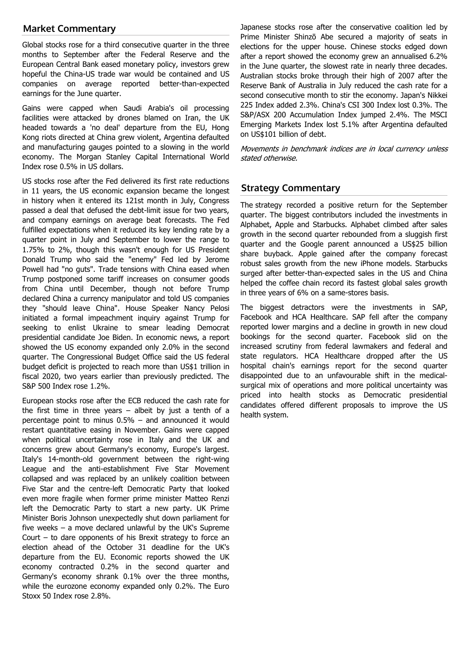# **Market Commentary**

Global stocks rose for a third consecutive quarter in the three months to September after the Federal Reserve and the European Central Bank eased monetary policy, investors grew hopeful the China-US trade war would be contained and US companies on average reported better-than-expected earnings for the June quarter.

Gains were capped when Saudi Arabia's oil processing facilities were attacked by drones blamed on Iran, the UK headed towards a 'no deal' departure from the EU, Hong Kong riots directed at China grew violent, Argentina defaulted and manufacturing gauges pointed to a slowing in the world economy. The Morgan Stanley Capital International World Index rose 0.5% in US dollars.

US stocks rose after the Fed delivered its first rate reductions in 11 years, the US economic expansion became the longest in history when it entered its 121st month in July, Congress passed a deal that defused the debt-limit issue for two years, and company earnings on average beat forecasts. The Fed fulfilled expectations when it reduced its key lending rate by a quarter point in July and September to lower the range to 1.75% to 2%, though this wasn't enough for US President Donald Trump who said the "enemy" Fed led by Jerome Powell had "no guts". Trade tensions with China eased when Trump postponed some tariff increases on consumer goods from China until December, though not before Trump declared China a currency manipulator and told US companies they "should leave China". House Speaker Nancy Pelosi initiated a formal impeachment inquiry against Trump for seeking to enlist Ukraine to smear leading Democrat presidential candidate Joe Biden. In economic news, a report showed the US economy expanded only 2.0% in the second quarter. The Congressional Budget Office said the US federal budget deficit is projected to reach more than US\$1 trillion in fiscal 2020, two years earlier than previously predicted. The S&P 500 Index rose 1.2%.

European stocks rose after the ECB reduced the cash rate for the first time in three years  $-$  albeit by just a tenth of a percentage point to minus 0.5% – and announced it would restart quantitative easing in November. Gains were capped when political uncertainty rose in Italy and the UK and concerns grew about Germany's economy, Europe's largest. Italy's 14-month-old government between the right-wing League and the anti-establishment Five Star Movement collapsed and was replaced by an unlikely coalition between Five Star and the centre-left Democratic Party that looked even more fragile when former prime minister Matteo Renzi left the Democratic Party to start a new party. UK Prime Minister Boris Johnson unexpectedly shut down parliament for five weeks – a move declared unlawful by the UK's Supreme Court – to dare opponents of his Brexit strategy to force an election ahead of the October 31 deadline for the UK's departure from the EU. Economic reports showed the UK economy contracted 0.2% in the second quarter and Germany's economy shrank 0.1% over the three months, while the eurozone economy expanded only 0.2%. The Euro Stoxx 50 Index rose 2.8%.

Japanese stocks rose after the conservative coalition led by Prime Minister Shinzō Abe secured a majority of seats in elections for the upper house. Chinese stocks edged down after a report showed the economy grew an annualised 6.2% in the June quarter, the slowest rate in nearly three decades. Australian stocks broke through their high of 2007 after the Reserve Bank of Australia in July reduced the cash rate for a second consecutive month to stir the economy. Japan's Nikkei 225 Index added 2.3%. China's CSI 300 Index lost 0.3%. The S&P/ASX 200 Accumulation Index jumped 2.4%. The MSCI Emerging Markets Index lost 5.1% after Argentina defaulted on US\$101 billion of debt.

Movements in benchmark indices are in local currency unless stated otherwise.

# **Strategy Commentary**

The strategy recorded a positive return for the September quarter. The biggest contributors included the investments in Alphabet, Apple and Starbucks. Alphabet climbed after sales growth in the second quarter rebounded from a sluggish first quarter and the Google parent announced a US\$25 billion share buyback. Apple gained after the company forecast robust sales growth from the new iPhone models. Starbucks surged after better-than-expected sales in the US and China helped the coffee chain record its fastest global sales growth in three years of 6% on a same-stores basis.

The biggest detractors were the investments in SAP, Facebook and HCA Healthcare. SAP fell after the company reported lower margins and a decline in growth in new cloud bookings for the second quarter. Facebook slid on the increased scrutiny from federal lawmakers and federal and state regulators. HCA Healthcare dropped after the US hospital chain's earnings report for the second quarter disappointed due to an unfavourable shift in the medicalsurgical mix of operations and more political uncertainty was priced into health stocks as Democratic presidential candidates offered different proposals to improve the US health system.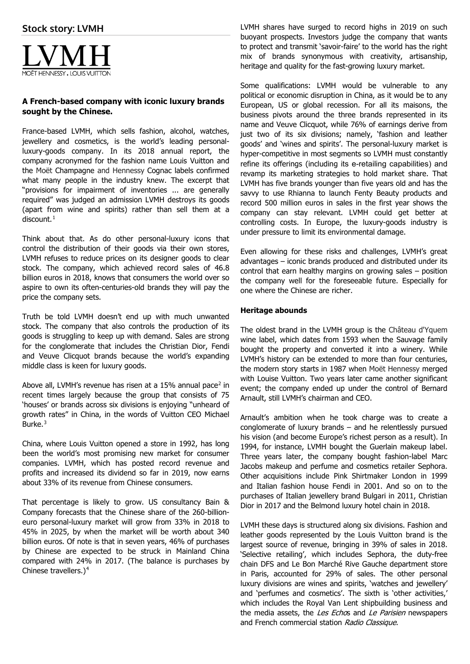

## **A French-based company with iconic luxury brands sought by the Chinese.**

France-based LVMH, which sells fashion, alcohol, watches, jewellery and cosmetics, is the world's leading personalluxury-goods company. In its 2018 annual report, the company acronymed for the fashion name Louis Vuitton and the Moët Champagne and Hennessy Cognac labels confirmed what many people in the industry knew. The excerpt that "provisions for impairment of inventories ... are generally required" was judged an admission LVMH destroys its goods (apart from wine and spirits) rather than sell them at a discount.<sup>[1](#page-3-0)</sup>

Think about that. As do other personal-luxury icons that control the distribution of their goods via their own stores, LVMH refuses to reduce prices on its designer goods to clear stock. The company, which achieved record sales of 46.8 billion euros in 2018, knows that consumers the world over so aspire to own its often-centuries-old brands they will pay the price the company sets.

Truth be told LVMH doesn't end up with much unwanted stock. The company that also controls the production of its goods is struggling to keep up with demand. Sales are strong for the conglomerate that includes the Christian Dior, Fendi and Veuve Clicquot brands because the world's expanding middle class is keen for luxury goods.

Above all, LVMH's revenue has risen at a 15% annual pace<sup>[2](#page-3-1)</sup> in recent times largely because the group that consists of 75 'houses' or brands across six divisions is enjoying "unheard of growth rates" in China, in the words of Vuitton CEO Michael Burke.<sup>[3](#page-3-2)</sup>

China, where Louis Vuitton opened a store in 1992, has long been the world's most promising new market for consumer companies. LVMH, which has posted record revenue and profits and increased its dividend so far in 2019, now earns about 33% of its revenue from Chinese consumers.

<span id="page-3-3"></span><span id="page-3-2"></span><span id="page-3-1"></span><span id="page-3-0"></span>That percentage is likely to grow. US consultancy Bain & Company forecasts that the Chinese share of the 260-billioneuro personal-luxury market will grow from 33% in 2018 to 45% in 2025, by when the market will be worth about 340 billion euros. Of note is that in seven years, 46% of purchases by Chinese are expected to be struck in Mainland China compared with 24% in 2017. (The balance is purchases by Chinese travellers.)[4](#page-3-3)

LVMH shares have surged to record highs in 2019 on such buoyant prospects. Investors judge the company that wants to protect and transmit 'savoir-faire' to the world has the right mix of brands synonymous with creativity, artisanship, heritage and quality for the fast-growing luxury market.

Some qualifications: LVMH would be vulnerable to any political or economic disruption in China, as it would be to any European, US or global recession. For all its maisons, the business pivots around the three brands represented in its name and Veuve Clicquot, while 76% of earnings derive from just two of its six divisions; namely, 'fashion and leather goods' and 'wines and spirits'. The personal-luxury market is hyper-competitive in most segments so LVMH must constantly refine its offerings (including its e-retailing capabilities) and revamp its marketing strategies to hold market share. That LVMH has five brands younger than five years old and has the savvy to use Rhianna to launch Fenty Beauty products and record 500 million euros in sales in the first year shows the company can stay relevant. LVMH could get better at controlling costs. In Europe, the luxury-goods industry is under pressure to limit its environmental damage.

Even allowing for these risks and challenges, LVMH's great advantages – iconic brands produced and distributed under its control that earn healthy margins on growing sales – position the company well for the foreseeable future. Especially for one where the Chinese are richer.

## **Heritage abounds**

The oldest brand in the LVMH group is the Château d'Yquem wine label, which dates from 1593 when the Sauvage family bought the property and converted it into a winery. While LVMH's history can be extended to more than four centuries, the modern story starts in 1987 when Moët Hennessy merged with Louise Vuitton. Two years later came another significant event; the company ended up under the control of Bernard Arnault, still LVMH's chairman and CEO.

Arnault's ambition when he took charge was to create a conglomerate of luxury brands – and he relentlessly pursued his vision (and become Europe's richest person as a result). In 1994, for instance, LVMH bought the Guerlain makeup label. Three years later, the company bought fashion-label Marc Jacobs makeup and perfume and cosmetics retailer Sephora. Other acquisitions include Pink Shirtmaker London in 1999 and Italian fashion house Fendi in 2001. And so on to the purchases of Italian jewellery brand Bulgari in 2011, Christian Dior in 2017 and the Belmond luxury hotel chain in 2018.

LVMH these days is structured along six divisions. Fashion and leather goods represented by the Louis Vuitton brand is the largest source of revenue, bringing in 39% of sales in 2018. 'Selective retailing', which includes Sephora, the duty-free chain DFS and Le Bon Marché Rive Gauche department store in Paris, accounted for 29% of sales. The other personal luxury divisions are wines and spirits, 'watches and jewellery' and 'perfumes and cosmetics'. The sixth is 'other activities,' which includes the Royal Van Lent shipbuilding business and the media assets, the Les Echos and Le Parisien newspapers and French commercial station Radio Classique.